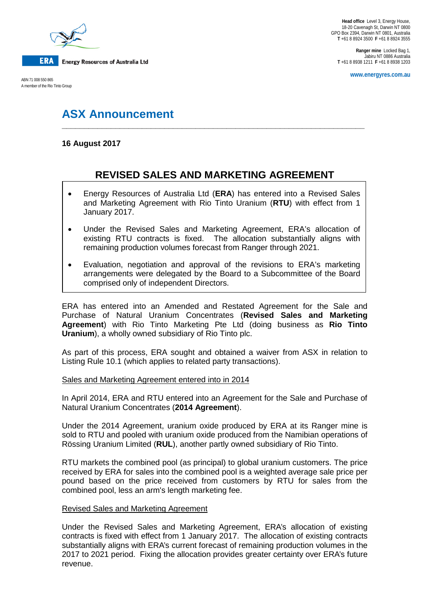

A member of the Rio Tinto Group

**Ranger mine** Locked Bag 1, Jabiru NT 0886 Australia **T** +61 8 8938 1211 **F** +61 8 8938 1203

**www.energyres.com.au** ABN 71 008 550 865

# **ASX Announcement**

### **16 August 2017**

## **REVISED SALES AND MARKETING AGREEMENT**

**\_\_\_\_\_\_\_\_\_\_\_\_\_\_\_\_\_\_\_\_\_\_\_\_\_\_\_\_\_\_\_\_\_\_\_\_\_\_\_\_\_\_\_\_\_\_\_\_\_\_\_\_\_\_\_\_\_\_\_\_\_\_\_\_\_\_\_\_**

- Energy Resources of Australia Ltd (**ERA**) has entered into a Revised Sales and Marketing Agreement with Rio Tinto Uranium (**RTU**) with effect from 1 January 2017.
- Under the Revised Sales and Marketing Agreement, ERA's allocation of existing RTU contracts is fixed. The allocation substantially aligns with remaining production volumes forecast from Ranger through 2021.
- Evaluation, negotiation and approval of the revisions to ERA's marketing arrangements were delegated by the Board to a Subcommittee of the Board comprised only of independent Directors.

ERA has entered into an Amended and Restated Agreement for the Sale and Purchase of Natural Uranium Concentrates (**Revised Sales and Marketing Agreement**) with Rio Tinto Marketing Pte Ltd (doing business as **Rio Tinto Uranium**), a wholly owned subsidiary of Rio Tinto plc.

As part of this process, ERA sought and obtained a waiver from ASX in relation to Listing Rule 10.1 (which applies to related party transactions).

#### Sales and Marketing Agreement entered into in 2014

In April 2014, ERA and RTU entered into an Agreement for the Sale and Purchase of Natural Uranium Concentrates (**2014 Agreement**).

Under the 2014 Agreement, uranium oxide produced by ERA at its Ranger mine is sold to RTU and pooled with uranium oxide produced from the Namibian operations of Rössing Uranium Limited (**RUL**), another partly owned subsidiary of Rio Tinto.

RTU markets the combined pool (as principal) to global uranium customers. The price received by ERA for sales into the combined pool is a weighted average sale price per pound based on the price received from customers by RTU for sales from the combined pool, less an arm's length marketing fee.

#### Revised Sales and Marketing Agreement

Under the Revised Sales and Marketing Agreement, ERA's allocation of existing contracts is fixed with effect from 1 January 2017. The allocation of existing contracts substantially aligns with ERA's current forecast of remaining production volumes in the 2017 to 2021 period. Fixing the allocation provides greater certainty over ERA's future revenue.